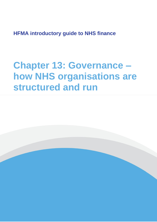**HFMA introductory guide to NHS finance**

# **Chapter 13: Governance – how NHS organisations are structured and run**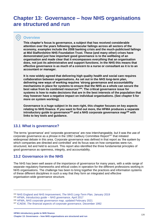## **Chapter 13: Governance – how NHS organisations are structured and run**

## **Overview**

 $\mathbf{O}$ 

**This chapter's focus is governance, a subject that has received considerable attention over the years following spectacular failings across all sectors of the economy, examples include the 2008 banking crisis and the much-publicised failings at Mid Staffordshire NHS Foundation Trust. These (and many other) crises have demonstrated just how important good governance is to the wellbeing of an organisation and made clear that it encompasses everything that an organisation does, not just its administrative and support functions. In the NHS this means that effective governance is as much of a concern to a nurse or consultant as it is to an accountant or manager.** 

**It is now widely agreed that delivering high quality health and social care requires collaboration between organisations. As set out in the** *NHS long-term plan***, delivering new ways of working requires 'strong governance and accountability mechanisms in place for systems to ensure that the NHS as a whole can secure the best value from its combined resources' <sup>164</sup>. The critical governance issue for systems is how to make decisions that are in the best interests of the population that may however have a negative impact on individual organisations. (See chapter 5 for more on system working).**

**Governance is a huge subject in its own right, this chapter focuses on key aspects relating to NHS finance. If you want to find out more, the HFMA produces a separate introductory guide to governance<sup>165</sup> and a NHS corporate governance map<sup>166</sup> with links to key tools and guidance.**

## **13.1 What is governance?**

The terms 'governance' and 'corporate governance' are now interchangeable, but it was the use of corporate governance as a phrase in the 1992 Cadbury Committee Report<sup>167</sup> that initiated widespread debate in this area. Corporate governance was defined in that report as 'the system by which companies are directed and controlled' and its focus was on how companies were run, structured, led and held to account. This report also identified the three fundamental principles of good governance as openness, integrity, and accountability.

## **13.2 Governance in the NHS**

The NHS has been well aware of the importance of governance for many years, with a wide range of separate regulatory frameworks and ethical codes in operation for the different professions working in NHS organisations. The challenge has been to bring together the practices and information systems of these different disciplines in such a way that they form an integrated and effective organisation-wide governance structure.

<sup>164</sup> [NHS England and NHS Improvement,](https://www.longtermplan.nhs.uk/online-version/) *The NHS Long-Term Plan,* January 2019

<sup>165</sup> HFMA, *[Introductory guide –](https://www.hfma.org.uk/publications/details/introductory-guide---nhs-governance) NHS governance,* April 2017

<sup>166</sup> HFMA, *[NHS corporate governance map,](https://www.hfma.org.uk/publications/details/nhs-corporate-governance-map)* updated February 2021

<sup>167</sup> ICAEW, *[The financial aspects of corporate governance](https://www.icaew.com/technical/corporate-governance/codes-and-reports/cadbury-report)*, December 1992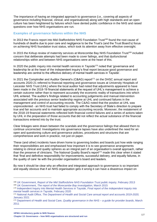The importance of having an integrated approach to governance (i.e., covering all aspects of governance including financial, clinical, and organisational) along with high standards and an open culture has been heightened by failures which have dented public confidence in the NHS and raised questions over how NHS organisations are run.

## **Examples of governance failures within the NHS**

In 2013 the Francis report into Mid-Staffordshire NHS Foundation Trust<sup>168</sup> found the root cause of hundreds of deaths due to poor care and negligence to be the Trust's (and the Trust Board's) focus on achieving NHS foundation trust status, which took its attention away from effective oversight.

In 2015 the Kirkup review of maternity services at Morecombe Bay NHS Foundation Trust<sup>169</sup> included concern that deliberate attempts had been made to cover failings, and that dysfunctional relationships within and between NHS organisations were at the heart of this.

In 2020 the public inquiry into mental health services in Tayside<sup>170</sup> noted that 'governance and leadership lie at the heart of the independent inquiry's final report because good governance and leadership are central to the effective delivery of mental health services in Tayside'.

In 2021 the Comptroller and Auditor General's (C&AG) report<sup>171</sup> on the DHSC annual report and accounts 2020-21 referred to financial reporting and governance issues at University Hospitals of Leicester NHS Trust (UHL) where the local auditor had noted that adjustments appeared to have been made in the 2018-19 financial statements at the request of UHL's management to achieve a certain outcome rather than to represent accurately the economic reality of transactions into which UHL entered. The auditor's findings related to accounting judgements and manual intervention associated with the previous senior leadership regime at UHL and continued failures in the management and control of accounting records. The C&AG noted that the position at UHL was unprecedented - an NHS trust had failed to comply with the Secretary of State's direction to prepare true and fair accounts and to maintain appropriate accounting records. Moreover, the restatement of the 2018-19 financial statements reflected both financial control failures and a series of actions taken by UHL in the preparation of those accounts that did not reflect the actual substance of the financial transactions entered into by the trust.

Clear linkages were drawn between the scandals and the governance failings that allowed them to continue uncorrected. Investigations into governance lapses have also underlined the need for an open and questioning culture and governance policies, procedures and structures that are comprehensive and work in practice, not just on paper.

These (and other) incidents have driven home to governing bodies and boards just how wide ranging their responsibilities are and emphasised how important it is to see governance arrangements relating to clinical and quality spheres as an integral part of an organisation's overall approach, rather than the preserve of clinicians. The National Quality Board's report<sup>172</sup> made this clear when it stated that 'final and definitive responsibility for improvements, successful delivery, and equally failures, in the quality of care' lie with the provider organisation's board and leaders.

By now it should be clear why an effective and integrated approach to governance is so important and equally obvious that if an NHS organisation gets it wrong it can have a disastrous impact on

<sup>168</sup> UK Government, *[Report of the Mid Staffordshire NHS Foundation Trust public inquiry](https://www.gov.uk/government/publications/report-of-the-mid-staffordshire-nhs-foundation-trust-public-inquiry)*, February 2013 <sup>169</sup> UK Government, *[The report of the Morecambe Bay investigation](https://assets.publishing.service.gov.uk/government/uploads/system/uploads/attachment_data/file/408480/47487_MBI_Accessible_v0.1.pdf)*, March 2015

<sup>170</sup> [Independent Inquiry into Mental Health Services in Tayside,](https://independentinquiry.org/wp-content/uploads/2020/02/Final-Report-of-the-Independent-Inquiry-into-Mental-Health-Services-in-Tayside.pdf) *Final report of the independent inquiry into [mental health services in Tayside,](https://independentinquiry.org/wp-content/uploads/2020/02/Final-Report-of-the-Independent-Inquiry-into-Mental-Health-Services-in-Tayside.pdf)* February 2020

<sup>171</sup> National Audit Office, *[The Department of Health and Social Care annual report and accounts 2019-2020,](https://www.nao.org.uk/report/the-department-of-health-and-social-care-annual-report-and-accounts-2019-20/)*  [January 2021](https://www.nao.org.uk/report/the-department-of-health-and-social-care-annual-report-and-accounts-2019-20/)

<sup>172</sup> [Department of Health and Social Care,](https://www.gov.uk/government/publications/quality-governance-in-the-nhs-a-guide-for-provider-boards) *Quality governance in the NHS – a guide for provider boards*, March [2011](https://www.gov.uk/government/publications/quality-governance-in-the-nhs-a-guide-for-provider-boards)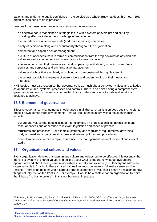patients and undermine public confidence in the service as a whole. But what does this mean NHS organisations need to do in practice?

Lessons from these governance lapses reinforce the importance of:

- an effective board that blends a strategic focus with a system of oversight and scrutiny, providing effective independent challenge of management
- the importance of an effective audit (and risk assurance) committee
- clarity of decision-making and accountability throughout the organisation
- competent and capable senior management
- a culture of openness, both in terms of communication from the top downwards of vision and values as well as communication upwards about areas of concern
- a focus on ensuring that business as usual is operating as it should, including core clinical services and corporate and administrative management
- values and ethics that are clearly articulated and demonstrated through leadership
- the widest possible involvement of stakeholders and understanding of their needs and interests.

NHS bodies must also recognise that governance is as much about behaviour, values and attitudes as about structures, systems, processes and controls. There is no point having a comprehensive governance framework if no-one is committed to it or understands why it exists and what it is designed to achieve.

## **13.3 Elements of governance**

Effective governance arrangements should underpin all that an organisation does but it is helpful to break it down across three key elements – we will look at each in turn with a focus on financial aspects:

- culture and values (the people issues) for example, an organisation's leadership style and tone, openness and adherence to relevant legislation and codes of practice
- structures and processes for example, statutory and regulatory requirements, governing body or board and committee structures and internal policies and procedures
- control frameworks for example, assurance, risk management, internal, external and clinical audit.

## **13.4 Organisational culture and values**

Every organisation develops its own unique culture and values but to be effective, it is essential that there is 'a system of shared values and beliefs about what is important, what behaviours are appropriate and about feelings and relationships internally and externally<sup>173</sup>. If everyone within an organisation is to 'buy in' to these shared values they must be meaningful, make sense and be realistic. There is no point having a carefully crafted statement of values if it bears no relation to how things actually feel on the front line. For example, it would be a mistake for an organisation to claim that it has a 'no blame culture' if this is not borne out in practice.

<sup>173</sup> Purcell, J., Hutchinson, S., Swart, J., Kinnie, N. & Rayton, B., 2004, *Vision and Values: Organisational Culture and Values as a Source of Competitive Advantage.* Chartered Institute of Personnel and Development, London, UK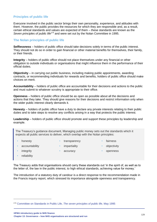## **Principles of public life**

Everyone involved in the public sector brings their own personality, experience, and attitudes with them. However, the public provides the resources for which they are responsible and, as a result, certain ethical standards and values are expected of them – these standards are known as the *Seven principles of public life*<sup>174</sup> and were set out by the Nolan Committee in 1995.

## **The Nolan principles of public life**

**Selflessness** – holders of public office should take decisions solely in terms of the public interest. They should not do so in order to gain financial or other material benefits for themselves, their family, or their friends.

**Integrity** – holders of public office should not place themselves under any financial or other obligation to outside individuals or organisations that might influence them in the performance of their official duties.

**Objectivity** – in carrying out public business, including making public appointments, awarding contracts, or recommending individuals for rewards and benefits, holders of public office should make choices on merit.

**Accountability** – holders of public office are accountable for their decisions and actions to the public and must submit to whatever scrutiny is appropriate to their office.

**Openness** – holders of public office should be as open as possible about all the decisions and actions that they take. They should give reasons for their decisions and restrict information only when the wider public interest clearly demands it.

**Honesty** – holders of public office have a duty to declare any private interests relating to their public duties and to take steps to resolve any conflicts arising in a way that protects the public interest.

**Leadership** – holders of public office should promote and support these principles by leadership and example.

The Treasury's guidance document, Managing public money sets out the standards which it expects all public services to deliver, which overlap with the Nolan principles:

- **honesty •** transparency **•** fairness
- accountability impartiality **biggers objectivity**
- 
- 
- - integrity  **accuracy accuracy openness**
- **reliability**

The Treasury adds that organisations should carry these standards out 'in the spirit of, as well as to the letter of, the law in the public interest, to high ethical standards, achieving value for money.'

The introduction of a statutory duty of candour is a direct response to the recommendation made in the Francis inquiry report, which stressed its importance alongside openness and transparency.

<sup>174</sup> [Committee on Standards in Public Life,](https://www.gov.uk/government/publications/the-7-principles-of-public-life) *The seven principles of public life*, May 1995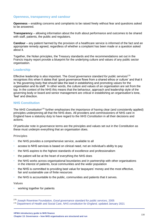## **Openness, transparency and candour**

**Openness** – enabling concerns and complaints to be raised freely without fear and questions asked to be answered.

**Transparency** – allowing information about the truth about performance and outcomes to be shared with staff, patients, the public and regulators.

**Candour** – any patient harmed by the provision of a healthcare service is informed of the fact and an appropriate remedy agreed, regardless of whether a complaint has been made or a question asked about it.

Together, the Nolan principles, the Treasury standards and the recommendations set out in the Francis inquiry report provide a blueprint for the underlying culture and values of any public sector organisation.

#### **Leadership**

Effective leadership is also important. The *Good governance standard for public services*<sup>175</sup> recognises this when it states that 'good governance flows from a shared ethos or culture' and that it is 'the governing body that should take the lead in establishing and promoting values for the organisation and its staff.' In other words, the culture and values of an organisation are set from the top. In the context of the NHS this means that the behaviour, approach and leadership style of the governing body or board and senior management are critical in establishing an organisation's tone, 'feel' and direction.

#### **NHS Constitution**

The *NHS Constitution<sup>176</sup>* further emphasises the importance of having clear (and consistently applied) principles underpinning all that the NHS does. All providers and commissioners of NHS care in England have a statutory duty to have regard to the *NHS Constitution* in all their decisions and actions.

Of particular note in governance terms are the principles and values set out in the Constitution as these must underpin everything that an organisation does.

#### **Principles**

- the NHS provides a comprehensive service, available to all
- access to NHS services is based on clinical need, not an individual's ability to pay
- the NHS aspires to the highest standards of excellence and professionalism
- the patient will be at the heart of everything the NHS does
- the NHS works across organisational boundaries and in partnership with other organisations in the interest of patients, local communities and the wider population
- the NHS is committed to providing best value for taxpayers' money and the most effective, fair and sustainable use of finite resources
- the NHS is accountable to the public, communities and patients that it serves.

#### **Values**

working together for patients

<sup>175</sup> Joseph Rowntree Foundation*[, Good governance standard for public services,](https://www.jrf.org.uk/report/good-governance-standard-public-services)* 2005

<sup>176</sup> [Department of Health and Social Care,](https://www.gov.uk/government/publications/the-nhs-constitution-for-england) *NHS constitution for England,* updated January 2021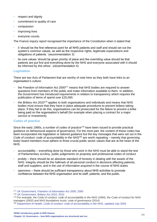- respect and dignity
- commitment to quality of care
- compassion
- improving lives
- everyone counts.

The *Francis inquiry report* recognised the importance of the Constitution when it stated that:

- it 'should be the first reference point for all NHS patients and staff and should set out the system's common values, as well as the respective rights, legitimate expectations and obligations of patients.' (recommendation 3)
- its core values 'should be given priority of place and the overriding value should be that patients are put first and everything done by the NHS and everyone associated with it should be informed by this ethos'. (recommendation 4)

#### **Legislation**

There are two Acts of Parliament that are worthy of note here as they both have links to an organisation's culture:

- the *Freedom of Information Act 2000*<sup>177</sup> means that NHS bodies are required to answer questions from members of the public and make information available to them. In addition, the Government has introduced requirements in relation to transparency which requires the publication of items of spend over £25,000.
- the *Bribery Act 2010*<sup>178</sup> applies to both organisations and individuals and means that NHS bodies must ensure that they have in place adequate procedures to prevent bribery taking place. If they fail to do this, organisations can be prosecuted for the failure to prevent a bribe being paid on the organisation's behalf (for example when placing a contract for a major service or investment).

#### **Codes of practice**

Since the early 1990s, a number of codes of practice<sup>179</sup> have been issued to provide practical guidance on behavioural aspects of governance. For the most part, the content of these codes has been incorporated into legislation or tailored guidance but the key messages that were set out in the *Code of conduct: code of accountability in the NHS*<sup>180</sup> are worth repeating – namely that governing body/ board members must adhere to three crucial public sector values that are at the heart of the NHS:

- accountability everything done by those who work in the NHS must be able to stand the test of Parliamentary scrutiny, public judgements on propriety and professional codes of conduct
- probity there should be an absolute standard of honesty in dealing with the assets of the NHS: integrity should be the hallmark of all personal conduct in decisions affecting patients, staff and suppliers, and in the use of information acquired in the course of NHS duties
- openness there should be sufficient transparency about NHS activities to promote confidence between the NHS organisation and its staff, patients, and the public.

<sup>177</sup> UK Government, *[Freedom of Information Act 2000,](https://www.legislation.gov.uk/ukpga/2000/36/contents)* 2000

<sup>178</sup> [UK Government,](https://www.legislation.gov.uk/ukpga/2010/23/contents) *Bribery Act 2010*, 2010

<sup>179</sup> For example, the *Code of conduct: code of accountability in the NHS* (1994), the *Code of conduct for NHS managers* (2002) and *NHS foundations trusts: code of governance* (2014)

<sup>180</sup> Department of Health, *[Code of conduct: code of accountability in the NHS,](https://www.nhsbsa.nhs.uk/sites/default/files/2017-02/Sect_1_-_D_-_Codes_of_Conduct_Acc.pdf)* updated July 2004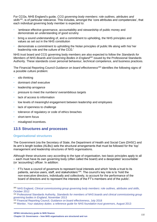For CCGs, NHS England's guide, *CCG governing body members: role outlines, attributes and*  s*kills*<sup>181</sup>, is of particular relevance. This includes, amongst the 'core attributes and competencies', that each individual governing body member is expected to:

- 'embrace effective governance, accountability and stewardship of public money and demonstrate an understanding of good scrutiny
- bring a sound understanding of, and a commitment to upholding, the NHS principles and values as set out in the NHS constitution
- demonstrate a commitment to upholding the Nolan principles of public life along with his/ her leadership role and the culture of the CCG.'

NHS trust board and CCG governing body members are also expected to follow the *Standards for Members of NHS Boards and Governing Bodies in England*<sup>182</sup> issued by the Professional Standards Authority. These standards cover personal behaviour, technical competence, and business practices.

The Financial Reporting Council *Guidance on board effectiveness*<sup>183</sup> identifies the following signs of a possible culture problem:

- silo thinking
- dominant chief executive
- leadership arrogance
- pressure to meet the numbers/ overambitious targets
- lack of access to information
- low levels of meaningful engagement between leadership and employees
- lack of openness to challenge
- tolerance of regulatory or code of ethics breaches
- short-term focus
- misaligned incentives.

## **13.5 Structures and processes**

## **Organisational structures**

The Government (via the Secretary of State, the Department of Health and Social Care (DHSC) and its arm's length bodies (ALBs)) sets the structural arrangements that must be followed for the 'top' management and leadership structures of NHS organisations.

Although these structures vary according to the type of organisation, two basic principles apply to all – each must have its own governing body (often called the board) and a designated 'accountable' (or 'accounting') officer. In addition:

• FTs have a council of governors to represent local interests and which 'binds a trust to its patients, service users, staff, and stakeholders<sup>'184</sup>. The council's key role is to 'hold the non-executive directors, individually and collectively, to account for the performance of the board of directors and to represent the interests of the FT's members and of the public'.

<sup>181</sup> NHS England, *Clinical commissioning group governing body members: role outlines, attributes and skills*, October 2012

<sup>182</sup> Professional Standards Authority, *[Standards for members of NHS boards and](https://www.professionalstandards.org.uk/docs/default-source/publications/standards/standards-for-members-of-nhs-boards-and-ccgs-2013.pdf?sfvrsn=d5f77f20_2) clinical commissioning group [governing bodies in England](https://www.professionalstandards.org.uk/docs/default-source/publications/standards/standards-for-members-of-nhs-boards-and-ccgs-2013.pdf?sfvrsn=d5f77f20_2)*, November 2013

<sup>183</sup> Financial Reporting Council, *[Guidance on board effectiveness](https://www.frc.org.uk/getattachment/61232f60-a338-471b-ba5a-bfed25219147/2018-guidance-on-board-effectiveness-final.pdf)*, July 2018

<sup>184</sup> Monitor, *[Your statutory duties: a reference guide for NHS foundation trust governors](https://assets.publishing.service.gov.uk/government/uploads/system/uploads/attachment_data/file/284473/Governors_guide_August_2013_UPDATED_NOV_13.pdf)*, August 2013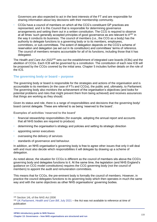Governors are also expected to act in the best interests of the FT and are responsible for sharing information about key decisions with their membership community.

• CCGs have a council of members on which all the CCG's constituent GP practices are represented, and it is this Council that is responsible for determining governance arrangements and setting them out in a written constitution. The CCG is required to observe at all times 'such generally accepted principles of good governance as are relevant to it<sup>185</sup> in the way it conducts its business. The council of members (i.e., the CCG as a body) has the authority to delegate functions to a governing body or to its members, employees, committees, or sub-committees. The extent of delegation depends on the CCG's scheme of reservation and delegation (as set out in its constitution) and committees' terms of reference. The council of members remains accountable for all of its functions, including those that it has delegated.

The *Health and Care Act 2022*<sup>186</sup> sets out the establishment of integrated care boards (ICBs) and the abolition of CCGs. Each ICB will be governed by a constitution. The constitution of each new ICB will be proposed by the CCGs covered by the initial area. Chapter 5 includes further details on the role of the ICS.

## **The governing body or board – purpose**

The governing body or board is responsible for the strategies and actions of the organisation and is accountable to its members (in the case of FTs and CCGs), the public and, ultimately, to Parliament. The governing body also monitors the achievement of the organisation's objectives (and looks for potential problems and risks that might prevent them from being achieved) and receives assurances that things are working as they should.

Given its status and role, there is a range of responsibilities and decisions that the governing body/ board cannot delegate. These are referred to as being 'reserved to the board'.

**Examples of activities 'reserved to the board'** 

- financial stewardship responsibilities (for example, adopting the annual report and accounts that all NHS bodies are required to produce)
- determining the organisation's strategy and policies and setting its strategic direction
- appointing senior executives
- overseeing the delivery of services
- standards of governance and behaviour.

In addition, an NHS organisation's governing body is free to agree other issues that only it will deal with and must also decide which responsibilities it will delegate by drawing up a scheme of delegation.

As noted above, the situation for CCGs is different as the council of members sits above the CCG's governing body and delegates functions to it. At the same time, the legislation (and NHS England's guidance on CCG model constitutions) requires the CCG governing body (not the council of members) to appoint the audit and remuneration committees.

This means that for CCGs, the pre-eminent body is formally the council of members. However, in practice the council delegates functions to its governing body which then operates in much the same way and with the same objectives as other NHS organisations' governing bodies.

<sup>185</sup> Section 14L of the *NHS Act 2006*

<sup>186</sup> UK Parliament, *[Health and Care Bill](https://bills.parliament.uk/bills/3022)*, July 2021 – the Act was not available to reference at time of publication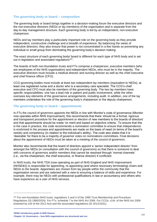## **The governing body or board – composition**

The governing body or board brings together in a decision-making forum the executive directors and the non-executive directors (NEDs or lay members) of the organisation and is separate from the day-to-day management structure. Each governing body is led by an independent, non-executive chairperson.

NEDs and lay members play a particularly important role on the governing body as they provide independent, constructive challenge and a breadth of experience. By balancing the views of executive directors, they also ensure that power is not concentrated in a few hands so preventing any individual or small group from dominating the governing body's decision making.

The exact structure of each governing body/ board is different for each type of NHS body and is set out in legislation and associated regulations<sup>187</sup>.

The boards of both non-foundation trusts and FTs comprise a chairperson, executive members (who are employees of the NHS organisation) and independent NEDs, who must be in the majority. The executive directors must include a medical director and nursing director as well as the chief executive and chief finance officer (CFO).

CCG governing bodies must include at least two independent lay members (equivalent to NEDs), at least one registered nurse and a doctor who is a secondary care specialist. The CCG's chief executive and CFO must also be members of the governing body. The two lay members have specific responsibilities: one has a lead role in patient and public involvement, while the other oversees key elements of the governance arrangements, including audit. In addition, one of the lay members undertakes the role of the governing body's chairperson or the deputy chairperson.

#### **The governing body or board – appointments**

In FTs the council of governors appoints the NEDs in line with Monitor's code of governance (Monitor now operates within NHS Improvement); this recommends that there 'should be a formal, rigorous and transparent procedure for the appointment or election of new members to the boards of directors' and that appointments should be made 'on merit and based on objective criteria.' To ensure that this is the case in practice, the code recommends a nomination committee to ensure that independence is enshrined in the process and appointments are made on the basis of need (in terms of the board's needs) and competency (in relation to the individual's ability). The code also states that it is 'desirable' for there to be a majority of governor votes on nominations committees. Final decisions about the appointment of NEDs must be taken at a meeting of the council of governors.

Monitor also recommends that the board of directors appoint a 'senior independent director' from amongst the NEDs (in consultation with the council of governors) so that there is someone to deal with concerns of governors and/or members that cannot be resolved through 'normal channels' (i.e., via the chairperson, the chief executive, or finance director) if conflicted.

In NHS trusts, the NHS TDA (now operating as part of NHS England and NHS Improvement (NHSE&I)) is responsible for appointing, re-appointing (and where necessary terminating) chairs and NEDs to the boards. Appointees are chosen from lay people within the community that the organisation serves and are selected with a view to ensuring a balance of skills and experience. For example, there may be NEDs with professional qualifications in law or accountancy and others who have experience as a user of NHS services.

<sup>&</sup>lt;sup>187</sup> For non-foundation NHS trusts: regulations 2 and 4 of the 1990 Trust Membership and Procedure Regulations (SI 1990/2024). For FTs: schedule 7 to the NHS Act 2006. For CCGs: s14L of the NHS Act 2006 (inserted by s25 of the 2012 Act) and the associated regulations (SI 2012/1631).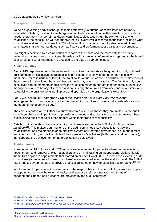#### CCGs appoint their own lay members.

#### **The governing body or board committees**

To help a governing body discharge its duties effectively, a number of committees are normally established. Although it is up to each organisation to decide what committee structure best suits its needs, there are a number of mandatory committees, discussed in turn below. For ICBs, when established, the constitution will set out how the ICS overall will discharge its functions including what committees and sub-committees the ICB will have. It is usual for a board to also have additional committees that are not mandated, such as finance and performance, or quality and governance.

Oversight is achieved by a combination of reports to the board and the more detailed scrutiny undertaken by board sub-committees. Boards should agree what information is reported to the board as a whole and what information is provided to the board's sub-committees

#### **Audit committee**

Every NHS organisation must have an audit committee that reports to the governing body or board. This committee's distinctive characteristic is that it comprises only independent non-executive members – there is usually at least three, to allow for a quorum of two. In addition, the chairperson of the organisation should not be a member, although may attend by invitation. The fact that only nonexecutives can be members should allow the audit committee to operate independently of executive management and to be objective when and considering the opinions from independent auditors, and scrutinising the arrangements put in place and operated by the organisation's executive.

For CCGs, schedule 2, paragraph 7 (3) of the *Health and Social Care Act 2012* says that 'Arrangements …. may include provision for the audit committee to include individuals who are not members of the governing body.'

The chief executive and all other executive directors attend whenever they are invited by the audit committee chair and, in particular, to provide assurances and explanations to the committee when it is discussing audit reports or other matters within their areas of responsibility.

Detailed guidance about the role of audit committees is set out in the HFMA's *Audit committee handbook*<sup>188</sup>. This makes clear that one of the audit committee's key duties is to 'review the establishment and maintenance of an effective system of integrated governance, risk management and internal control, across the whole of the organisation's activities (both clinical and non-clinical), that supports the achievement of the organisation's objectives'.

#### **Auditor panels**

Non-foundation NHS trusts and CCGs must also have an auditor panel to advise on the selection, appointment, and removal of external auditors and on maintaining an independent relationship with them. This applies to appointments that started on or after 1 April 2017. In most cases, existing audit committees (or members of those committees) are nominated to act as the auditor panel. The HFMA has produced two briefings that provide practical guidance on how to establish auditor panels<sup>189,190</sup>.

In FTs an auditor panel is not required as it is the responsibility of the council of governors to appoint, re-appoint and remove the external auditor and approve their remuneration and terms of engagement. Support and guidance are provided by the audit committee.

<sup>188</sup> HFMA, *[Audit committee handbook,](https://www.hfma.org.uk/publications/details/nhs-audit-committee-handbook)* March 2018

<sup>189</sup> HFMA, *[Auditor panel guidance,](https://www.hfma.org.uk/publications/details/auditor-panel-guidance)* September 2015

<sup>190</sup> HFMA, *[Example terms of reference for an auditor panel,](https://www.hfma.org.uk/publications/details/example-terms-of-reference-for-an-auditor-panel)* December 2015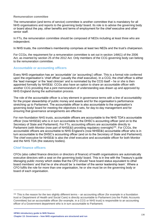#### **Remuneration committee**

The remuneration (and terms of service) committee is another committee that is mandatory for all NHS organisations and reports to the governing body/ board. Its role is to advise the governing body or board about the pay, other benefits and terms of employment for the chief executive and other senior staff.

In FTs, the remuneration committee should be composed of NEDs including at least three who are independent.

In NHS trusts, the committee's membership comprises at least two NEDs and the trust's chairperson.

For CCGs, the requirement for a remuneration committee is set out in section 14M(1) of the 2006 Act, as inserted by section 25 of the 2012 Act. Only members of the CCG governing body can belong to the remuneration committee.

## **Accountable or accounting officers**

Every NHS organisation has an 'accountable' (or 'accounting') officer. This is a formal role conferred upon the organisation's 'chief officer' (usually the chief executive). In a CCG, the chief officer is either the 'lead manager' or the 'lead clinician' and is nominated by the CCG itself – he or she is then appointed formally by NHSE&I. CCGs also have an option to share an accountable officer with another CCG providing that a joint memorandum of understanding was drawn up and approved by NHS England during the authorisation process.

The role of the accountable officer is a key element in governance terms with a line of accountability for the proper stewardship of public money and assets and for the organisation's performance stretching up to Parliament. The accountable officer is also accountable to the organisation's governing body/ board for meeting the objectives it sets, for day-to-day management and for ensuring that governance arrangements are effective.

For non-foundation NHS trusts, accountable officers are accountable to the NHS TDA's accountable officer (now NHSE&I) who is in turn accountable to the DHSC's accounting officer (and on to the Secretary of State and Parliament). For FTs, accounting officers are accountable directly to Parliament (with Monitor (now part of NHSE&I) providing regulatory oversight)<sup>191</sup>. For CCGs, the accountable officers are accountable to NHS England's (now NHSE&I) accountable officer who is in turn accountable to the DHSC's accounting officer (and on to the Secretary of State and Parliament). The chief executive for NHSE&I is also the chief executive and accountable officer for both Monitor and the NHS TDA (the statutory bodies).

## **Chief finance officers**

CFOs (also called finance directors or directors of finance) of health organisations are automatically executive directors with a seat on the governing body/ board. This is in line with the Treasury's guide *Managing public money* which states that the CFO should 'have board status equivalent to other board members' and that he or she should be 'a member of the senior leadership team'. Where a CFO fulfils the role for more than one organisation, he or she must be on the governing body or board of each organisation.

 $191$  This is the reason for the two slightly different terms – an accounting officer (for example in a foundation trust or Department of Health and Social Care) is directly accountable to Parliament (via the Public Accounts Committee) but an accountable officer (for example, in a CCG or NHS trust) is responsible to an accounting officer of a Government department who is in turn accountable to Parliament.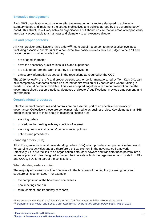## **Executive management**

Each NHS organisation must have an effective management structure designed to achieve its statutory duties and implement the strategic objectives and policies agreed by the governing body/ board. This structure will vary between organisations but should ensure that all areas of responsibility are clearly accountable to a manager and ultimately to an executive director.

## **Fit and proper persons**

All NHS provider organisations have a duty<sup>192</sup> not to appoint a person to an executive level post (including associate directors) or to a non-executive position unless they are judged to be a 'fit and proper person'. In other words that they:

- are of good character
- have the necessary qualifications, skills and experience
- are able to perform the work that they are employed for
- can supply information as set out in the regulations as required by the CQC.

The 2019 review<sup>193</sup> of the fit and proper persons test for senior managers, led by Tom Kark QC, said new competency standards should be created for directors on NHS boards and where training is needed it should be made available. This was accepted, together with a recommendation that the government should set up a national database of directors' qualifications, previous employment, and performance.

## **Organisational processes**

Effective internal procedures and controls are an essential part of an effective framework of governance. Collectively these are sometimes referred to as business rules. Key elements that NHS organisations need to think about in relation to finance are:

- standing orders
- procedures for dealing with any conflicts of interest
- standing financial instructions/ prime financial policies
- policies and procedures.

#### **Standing orders (SOs)**

All NHS organisations must have standing orders (SOs) which provide a comprehensive framework for carrying out activities and are therefore a critical element in the governance framework. Effectively, SOs are the link to an organisation's statutory powers and translate these powers into a series of practical rules designed to protect the interests of both the organisation and its staff. In FTs and CCGs, SOs form part of the constitution.

#### **What standing orders contain**

The majority of provisions within SOs relate to the business of running the governing body and structure of its committees – for example:

- the composition of the board and committees
- how meetings are run
- form, content, and frequency of reports

<sup>192</sup> As set out in the *Health and Social Care Act 2008* (Regulated Activities) Regulations 2014 <sup>193</sup> Department of Health and Social Care, *[Kark review of the fit and proper persons test,](https://www.gov.uk/government/publications/kark-review-of-the-fit-and-proper-persons-test)* March 2019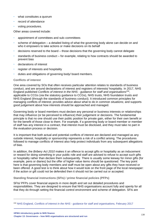- what constitutes a quorum
- record of attendance
- voting procedures.

Other areas covered include:

- appointment of committees and sub–committees
- scheme of delegation a detailed listing of what the governing body alone can decide on and who it empowers to take actions or make decisions on its behalf
- decisions reserved to the board those decisions that the governing body cannot delegate
- standards of business conduct for example, relating to how contracts should be awarded to prevent bias
- declarations of interest
- register of interests and hospitality
- duties and obligations of governing body/ board members.

#### **Conflicts of interest**

One area covered by SOs that often receives particular attention relates to standards of business conduct, and are around declarations of interest and registers of interests/ hospitality. In 2017, NHS England published *Conflicts of interest in the NHS - guidance for staff and organisations*<sup>194</sup> , applicable to CCGs (via the statutory guidance to CCGs), NHS trusts, NHS foundation trusts and NHS England (through the standards of business conduct). It introduced common principles for managing conflicts of interest; provides advice about what to do in common situations; and supports good judgement about how interests should be approached and managed.

Governing body or board members must declare any personal or business interests or relationships that may influence (or be perceived to influence) their judgement or decisions. The fundamental principle is that no one should use their public position for private gain, either for their own benefit or for the benefit of those close to them. For example, if a governing body or board member or member of staff has any interest in a contract, that interest must be disclosed, and they must take no part in the evaluation process or decision.

It is important that both actual and potential conflicts of interest are declared and managed as any outside interest, hospitality or sponsorship represents a risk of a conflict arising. The procedures followed to manage conflicts of interest also help protect individuals from any subsequent allegations of bias.

In addition, the *Bribery Act 2010* makes it an offence to accept gifts or hospitality as an inducement or reward for doing something in your public role and staff are advised to refuse to accept such gifts or hospitality rather than declare them subsequently. There is usually some leeway for minor gifts (for example, pens or diaries) but the offer of higher value items should be questioned. The key point here is that governing body members and staff must be open about any gifts they have received or been offered. A good test is to think about how it would look on the front page of the local newspaper: if the action or gift could not be defended then it should not be carried out or accepted.

**Standing financial instructions (SFIs) / prime financial policies (PFPs)**

SFIs/ PFPs cover financial aspects in more depth and set out detailed procedures and responsibilities. They are designed to ensure that NHS organisations account fully and openly for all that they do through setting the financial control environment and scheme of delegation. SFIs are

<sup>194</sup> NHS England, *Conflicts of interest in the NHS - [guidance for staff and organisations,](https://www.england.nhs.uk/wp-content/uploads/2017/02/guidance-managing-conflicts-of-interest-nhs.pdf)* February 2017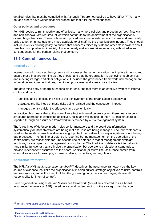detailed rules that must be complied with. Although FTs are not required to have SFIs/ PFPs many do, and others have written financial procedures that fulfil the same function.

#### **Other policies and procedures**

For NHS bodies to run smoothly and effectively, many more policies and procedures (both financial and non-financial) are required, all of which contribute to the achievement of the organisation's overarching objectives. These policies and procedures cover a wide variety of areas and are usually pulled together in manuals and made available to all staff via the organisation's intranet. They should include a whistleblowing policy, to ensure that concerns raised by staff and other stakeholders about possible improprieties in financial, clinical or safety matters are taken seriously, without adverse consequences for the person raising that concern.

## **13.6 Control frameworks**

## **Internal control**

Internal control comprises the systems and processes that an organisation has in place to assist and ensure that things are running as they should, and that the organisation is achieving its objectives and meeting its legal and other obligations. It includes the governance framework, risk management, information and communications, monitoring processes, and assurance activities.

The governing body or board is responsible for ensuring that there is an effective system of internal control and that it:

- identifies and prioritises the risks to the achievement of the organisation's objectives
- evaluates the likelihood of those risks being realised and the consequent impact
- manages the risk efficiently, effectively and economically.

In practice, this means that at the core of an effective internal control system there needs to be a structured approach to identifying objectives, risks, and mitigations. In the NHS, this structure is reported through an assurance framework underpinned by a risk management system.

The 'three lines of defence' model helps senior managers and the board get information systematically on how objectives are being met and risks are being managed. The term 'defence' is used as the model shows how directors might protect themselves from any allegations of not having due processes. The first line of defence is reporting by line management on the operation of the controls they are responsible for. The second line of defence is that of management oversight functions, for example, risk management or compliance. The third line of defence is internal audit (and similar functions) that are inside the organisation but operate to professional standards to provide 'independent' assurance to the board. Additional (or fourth line) assurance comes from external sources – for example, external auditors, inspectors, and regulators.

#### **Assurance framework**

The HFMA's *NHS audit committee handbook*<sup>195</sup> describes the assurance framework as 'the key source of evidence that links the organisation's 'mission critical' strategic objectives to risks, controls and assurances, and is the main tool that the governing body uses in discharging its overall responsibility for internal control'.

Each organisation designs its own 'assurance framework' (sometimes referred to as a board assurance framework or BAF) based on a sound understanding of the strategic risks that could

<sup>195</sup> HFMA, *[NHS audit committee handbook,](https://www.hfma.org.uk/publications/details/nhs-audit-committee-handbook)* March 2018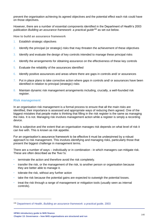prevent the organisation achieving its agreed objectives and the potential effect each risk could have on those objectives.

However, there are a number of essential components identified in the Department of Health's 2003 publication *Building an assurance framework: a practical guide*<sup>196</sup> as set out below.

**How to build an assurance framework**

- 1. Establish strategic objectives
- 2. Identify the principal (or strategic) risks that may threaten the achievement of these objectives
- 3. Identify and evaluate the design of key controls intended to manage these principal risks
- 4. Identify the arrangements for obtaining assurance on the effectiveness of these key controls
- 5. Evaluate the reliability of the assurances identified
- 6. Identify positive assurances and areas where there are gaps in controls and/ or assurances
- 7. Put in place plans to take corrective action where gaps in controls and/ or assurances have been identified in relation to principal (strategic) risks
- 8. Maintain dynamic risk management arrangements including, crucially, a well-founded risk register.

#### **Risk management**

In an organisation risk management is a formal process to ensure that all the main risks are identified, their importance is assessed and appropriate ways of reducing them agreed. One of the biggest mistakes that people make is thinking that filling in the risk register is the same as managing the risks. It is not. Managing risk involves management action while a register is simply a recording device.

Risk is subjective and the extent that an organisation manages risk depends on what level of risk it can live with. This is known as risk appetite.

For an organisation's assurance framework to be effective it must be underpinned by a robust approach to risk management. This involves identifying and managing risks, particularly those that present the biggest challenge in management terms.

There are a number of ways – individually or in combination - in which managers can mitigate risk. These are often described as the 'five t's:

- terminate the action and therefore avoid the risk completely.
- transfer the risk, or the management of the risk, to another person or organisation because they are better able to manage it.
- tolerate the risk, without any further action
- take the risk because the potential gains are expected to outweigh the potential losses.
- treat the risk through a range of management or mitigation tools (usually seen as internal controls).

<sup>196</sup> Department of Health, *[Building an assurance framework: a practical guide,](https://webarchive.nationalarchives.gov.uk/20120503235007/http:/www.dh.gov.uk/prod_consum_dh/groups/dh_digitalassets/@dh/@en/documents/digitalasset/dh_4093993.pdf)* 2003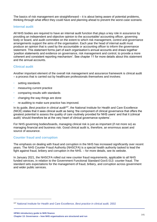The basics of risk management are straightforward – it is about being aware of potential problems, thinking through what effect they could have and planning ahead to prevent the worst-case scenario.

#### **Internal audit**

All NHS bodies are required to have an internal audit function that plays a key role in assurance by providing an independent and objective opinion to the accountable/ accounting officer, governing body or board, and audit committee on the extent to which risk management, control and governance arrangements support the aims of the organisation. Each year the head of internal audit must produce an opinion that is used by the accountable or accounting officer to inform the governance statement. This statement forms part of each organisation's annual accounts and draws together 'position statements and evidence on governance, risk management and control, to provide a more coherent and consistent reporting mechanism'. See chapter 11 for more details about this statement and the annual accounts.

## **Clinical audit**

Another important element of the overall risk management and assurance framework is clinical audit – a process that is carried out by healthcare professionals themselves and involves:

- setting standards
- measuring current practice
- comparing results with standards
- changing the way things are done
- re-auditing to make sure practice has improved.

In its guide, *Best practice in clinical audit<sup>197</sup>*, the National Institute for Health and Care Excellence (NICE) states that it sees clinical audit as being 'the component of clinical governance that offers the greatest potential to assess the quality of care routinely provided for NHS users' and that it (clinical audit) 'should therefore be at the very heart of clinical governance systems'.

For NHS governing bodies/boards, managing clinical risk is just as important (if not more so) as managing financial and business risk. Good clinical audit is, therefore, an enormous asset and source of assurance.

## **Counter fraud and corruption**

The emphasis on dealing with fraud and corruption in the NHS has increased significantly over recent years. The NHS Counter Fraud Authority (NHSCFA) is a special health authority tasked to lead the fight against fraud, bribery and corruption in the NHS. – for more details, see its website.

In January 2021, the NHSCFA rolled out new counter fraud requirements, applicable to all NHS funded services, in relation to the Government Functional Standard GovS 013: counter fraud. The standard sets expectations for the management of fraud, bribery, and corruption across government and wider public services.

<sup>197</sup> [National Institute for Health and Care Excellence,](https://www.nice.org.uk/media/default/About/what-we-do/Into-practice/principles-for-best-practice-in-clinical-audit.pdf) *Best practice in clinical audit,* 2002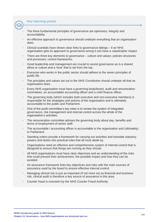## **Key learning points**

- The three fundamental principles of governance are openness, integrity and accountability.
- An effective approach to governance should underpin everything that an organisation does.
- Clinical scandals have shown clear links to governance failings if an NHS organisation gets its approach to governance wrong it can have a catastrophic impact.
- There are three key elements to governance culture and values; policies structures and processes; control frameworks.
- Good leadership and management are crucial to sound governance as is a shared ethos or culture and a 'tone' that is set from the top.
- Everyone who works in the public sector should adhere to the seven principles of public life
- The principles and values set out in the *NHS Constitution* should underpin all that an organisation does.
- Every NHS organisation must have a governing body/board, audit and remuneration committees, an accountable/ accounting officer and a chief finance officer.
- The governing body (which includes both executive and non-executive members) is responsible for the strategies and actions of the organisation and is ultimately accountable to the public and Parliament.
- One of the audit committee's key roles is to review the system of integrated governance, risk management and internal control across the whole of the organisation's activities.
- The remuneration committee advises the governing body about pay, benefits and terms of employment of senior staff.
- The accountable / accounting officer is accountable to the organisation and (ultimately) to Parliament.
- Standing orders provide a framework for carrying out activities and translate statutory powers and duties into practical rules that all must abide by.
- Organisations need an effective and comprehensive system of internal control that is designed to ensure that things are running as they should.
- All NHS organisations must have clear objectives and an understanding of the risks that could prevent their achievement, the possible impact and how they can be avoided.
- An assurance framework links key objectives and risks with the main sources of assurance used by the board to ensure effective internal control.
- Managing clinical risk is just as important (if not more so) as financial and business risk, clinical audit is therefore a key source of assurance in this area.
- Counter fraud is overseen by the *NHS Counter Fraud Authority*.